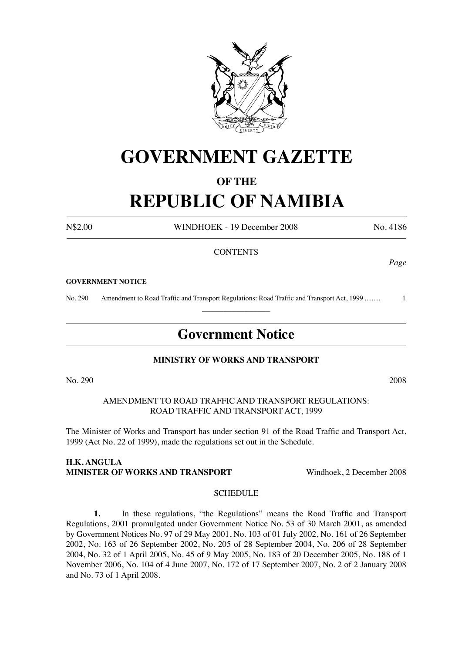

# **GOVERNMENT GAZETTE**

### **OF THE**

## **REPUBLIC OF NAMIBIA**

N\$2.00 WINDHOEK - 19 December 2008 No. 4186

#### **CONTENTS**

#### **GOVERNMENT NOTICE**

No. 290 Amendment to Road Traffic and Transport Regulations: Road Traffic and Transport Act, 1999 ......... 1  $\overline{\phantom{a}}$  , where  $\overline{\phantom{a}}$ 

### **Government Notice**

#### **MINISTRY OF WORKS AND TRANSPORT**

No. 290 2008

AMENDMENT TO ROAD TRAFFIC AND TRANSPORT REGULATIONS: ROAD TRAFFIC AND TRANSPORT ACT, 1999

The Minister of Works and Transport has under section 91 of the Road Traffic and Transport Act, 1999 (Act No. 22 of 1999), made the regulations set out in the Schedule.

#### **H.K. ANGULA MINISTER OF WORKS AND TRANSPORT Windhoek, 2 December 2008**

#### **SCHEDULE**

**1.** In these regulations, "the Regulations" means the Road Traffic and Transport Regulations, 2001 promulgated under Government Notice No. 53 of 30 March 2001, as amended by Government Notices No. 97 of 29 May 2001, No. 103 of 01 July 2002, No. 161 of 26 September 2002, No. 163 of 26 September 2002, No. 205 of 28 September 2004, No. 206 of 28 September 2004, No. 32 of 1 April 2005, No. 45 of 9 May 2005, No. 183 of 20 December 2005, No. 188 of 1 November 2006, No. 104 of 4 June 2007, No. 172 of 17 September 2007, No. 2 of 2 January 2008 and No. 73 of 1 April 2008.

*Page*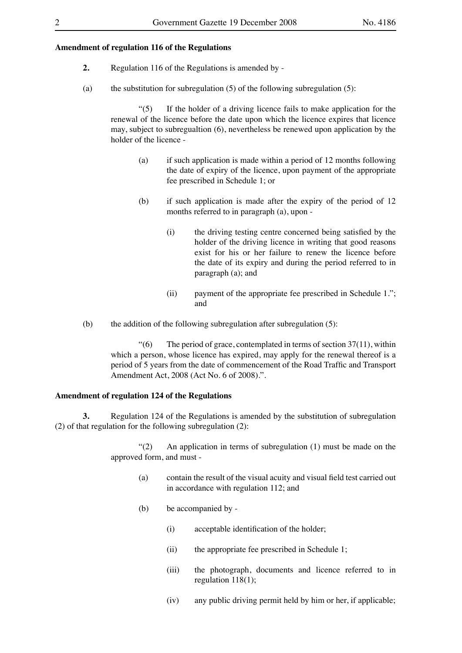#### **Amendment of regulation 116 of the Regulations**

- **2.** Regulation 116 of the Regulations is amended by -
- (a) the substitution for subregulation  $(5)$  of the following subregulation  $(5)$ :

 "(5) If the holder of a driving licence fails to make application for the renewal of the licence before the date upon which the licence expires that licence may, subject to subregualtion (6), nevertheless be renewed upon application by the holder of the licence -

- (a) if such application is made within a period of 12 months following the date of expiry of the licence, upon payment of the appropriate fee prescribed in Schedule 1; or
- (b) if such application is made after the expiry of the period of 12 months referred to in paragraph (a), upon -
	- (i) the driving testing centre concerned being satisfied by the holder of the driving licence in writing that good reasons exist for his or her failure to renew the licence before the date of its expiry and during the period referred to in paragraph (a); and
	- (ii) payment of the appropriate fee prescribed in Schedule 1."; and
- (b) the addition of the following subregulation after subregulation (5):

 $\degree$ (6) The period of grace, contemplated in terms of section 37(11), within which a person, whose licence has expired, may apply for the renewal thereof is a period of 5 years from the date of commencement of the Road Traffic and Transport Amendment Act, 2008 (Act No. 6 of 2008).".

#### **Amendment of regulation 124 of the Regulations**

**3.** Regulation 124 of the Regulations is amended by the substitution of subregulation (2) of that regulation for the following subregulation (2):

> "(2) An application in terms of subregulation (1) must be made on the approved form, and must -

- (a) contain the result of the visual acuity and visual field test carried out in accordance with regulation 112; and
- (b) be accompanied by
	- (i) acceptable identification of the holder;
	- (ii) the appropriate fee prescribed in Schedule 1;
	- (iii) the photograph, documents and licence referred to in regulation 118(1);
	- (iv) any public driving permit held by him or her, if applicable;